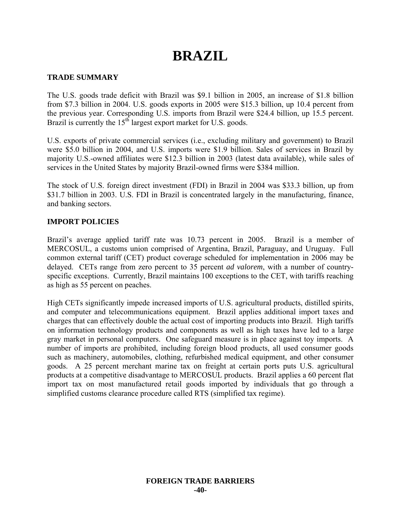# **BRAZIL**

## **TRADE SUMMARY**

The U.S. goods trade deficit with Brazil was \$9.1 billion in 2005, an increase of \$1.8 billion from \$7.3 billion in 2004. U.S. goods exports in 2005 were \$15.3 billion, up 10.4 percent from the previous year. Corresponding U.S. imports from Brazil were \$24.4 billion, up 15.5 percent. Brazil is currently the  $15<sup>th</sup>$  largest export market for U.S. goods.

U.S. exports of private commercial services (i.e., excluding military and government) to Brazil were \$5.0 billion in 2004, and U.S. imports were \$1.9 billion. Sales of services in Brazil by majority U.S.-owned affiliates were \$12.3 billion in 2003 (latest data available), while sales of services in the United States by majority Brazil-owned firms were \$384 million.

The stock of U.S. foreign direct investment (FDI) in Brazil in 2004 was \$33.3 billion, up from \$31.7 billion in 2003. U.S. FDI in Brazil is concentrated largely in the manufacturing, finance, and banking sectors.

## **IMPORT POLICIES**

Brazil's average applied tariff rate was 10.73 percent in 2005. Brazil is a member of MERCOSUL, a customs union comprised of Argentina, Brazil, Paraguay, and Uruguay. Full common external tariff (CET) product coverage scheduled for implementation in 2006 may be delayed. CETs range from zero percent to 35 percent *ad valorem*, with a number of countryspecific exceptions. Currently, Brazil maintains 100 exceptions to the CET, with tariffs reaching as high as 55 percent on peaches.

High CETs significantly impede increased imports of U.S. agricultural products, distilled spirits, and computer and telecommunications equipment. Brazil applies additional import taxes and charges that can effectively double the actual cost of importing products into Brazil. High tariffs on information technology products and components as well as high taxes have led to a large gray market in personal computers. One safeguard measure is in place against toy imports. A number of imports are prohibited, including foreign blood products, all used consumer goods such as machinery, automobiles, clothing, refurbished medical equipment, and other consumer goods. A 25 percent merchant marine tax on freight at certain ports puts U.S. agricultural products at a competitive disadvantage to MERCOSUL products. Brazil applies a 60 percent flat import tax on most manufactured retail goods imported by individuals that go through a simplified customs clearance procedure called RTS (simplified tax regime).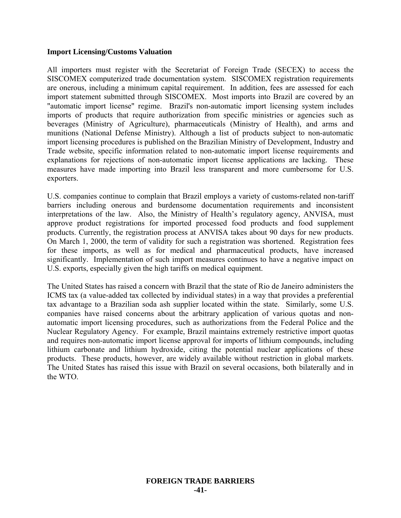#### **Import Licensing/Customs Valuation**

All importers must register with the Secretariat of Foreign Trade (SECEX) to access the SISCOMEX computerized trade documentation system. SISCOMEX registration requirements are onerous, including a minimum capital requirement. In addition, fees are assessed for each import statement submitted through SISCOMEX. Most imports into Brazil are covered by an "automatic import license" regime. Brazil's non-automatic import licensing system includes imports of products that require authorization from specific ministries or agencies such as beverages (Ministry of Agriculture), pharmaceuticals (Ministry of Health), and arms and munitions (National Defense Ministry). Although a list of products subject to non-automatic import licensing procedures is published on the Brazilian Ministry of Development, Industry and Trade website, specific information related to non-automatic import license requirements and explanations for rejections of non-automatic import license applications are lacking. These measures have made importing into Brazil less transparent and more cumbersome for U.S. exporters.

U.S. companies continue to complain that Brazil employs a variety of customs-related non-tariff barriers including onerous and burdensome documentation requirements and inconsistent interpretations of the law. Also, the Ministry of Health's regulatory agency, ANVISA, must approve product registrations for imported processed food products and food supplement products. Currently, the registration process at ANVISA takes about 90 days for new products. On March 1, 2000, the term of validity for such a registration was shortened. Registration fees for these imports, as well as for medical and pharmaceutical products, have increased significantly. Implementation of such import measures continues to have a negative impact on U.S. exports, especially given the high tariffs on medical equipment.

The United States has raised a concern with Brazil that the state of Rio de Janeiro administers the ICMS tax (a value-added tax collected by individual states) in a way that provides a preferential tax advantage to a Brazilian soda ash supplier located within the state. Similarly, some U.S. companies have raised concerns about the arbitrary application of various quotas and nonautomatic import licensing procedures, such as authorizations from the Federal Police and the Nuclear Regulatory Agency. For example, Brazil maintains extremely restrictive import quotas and requires non-automatic import license approval for imports of lithium compounds, including lithium carbonate and lithium hydroxide, citing the potential nuclear applications of these products. These products, however, are widely available without restriction in global markets. The United States has raised this issue with Brazil on several occasions, both bilaterally and in the WTO.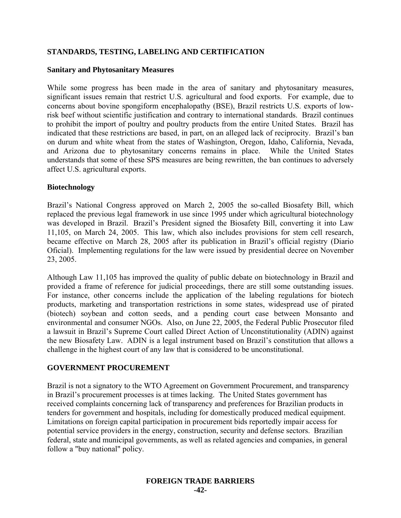## **STANDARDS, TESTING, LABELING AND CERTIFICATION**

### **Sanitary and Phytosanitary Measures**

While some progress has been made in the area of sanitary and phytosanitary measures, significant issues remain that restrict U.S. agricultural and food exports. For example, due to concerns about bovine spongiform encephalopathy (BSE), Brazil restricts U.S. exports of lowrisk beef without scientific justification and contrary to international standards. Brazil continues to prohibit the import of poultry and poultry products from the entire United States. Brazil has indicated that these restrictions are based, in part, on an alleged lack of reciprocity. Brazil's ban on durum and white wheat from the states of Washington, Oregon, Idaho, California, Nevada, and Arizona due to phytosanitary concerns remains in place. While the United States understands that some of these SPS measures are being rewritten, the ban continues to adversely affect U.S. agricultural exports.

#### **Biotechnology**

Brazil's National Congress approved on March 2, 2005 the so-called Biosafety Bill, which replaced the previous legal framework in use since 1995 under which agricultural biotechnology was developed in Brazil. Brazil's President signed the Biosafety Bill, converting it into Law 11,105, on March 24, 2005. This law, which also includes provisions for stem cell research, became effective on March 28, 2005 after its publication in Brazil's official registry (Diario Oficial). Implementing regulations for the law were issued by presidential decree on November 23, 2005.

Although Law 11,105 has improved the quality of public debate on biotechnology in Brazil and provided a frame of reference for judicial proceedings, there are still some outstanding issues. For instance, other concerns include the application of the labeling regulations for biotech products, marketing and transportation restrictions in some states, widespread use of pirated (biotech) soybean and cotton seeds, and a pending court case between Monsanto and environmental and consumer NGOs. Also, on June 22, 2005, the Federal Public Prosecutor filed a lawsuit in Brazil's Supreme Court called Direct Action of Unconstitutionality (ADIN) against the new Biosafety Law. ADIN is a legal instrument based on Brazil's constitution that allows a challenge in the highest court of any law that is considered to be unconstitutional.

## **GOVERNMENT PROCUREMENT**

Brazil is not a signatory to the WTO Agreement on Government Procurement, and transparency in Brazil's procurement processes is at times lacking. The United States government has received complaints concerning lack of transparency and preferences for Brazilian products in tenders for government and hospitals, including for domestically produced medical equipment. Limitations on foreign capital participation in procurement bids reportedly impair access for potential service providers in the energy, construction, security and defense sectors. Brazilian federal, state and municipal governments, as well as related agencies and companies, in general follow a "buy national" policy.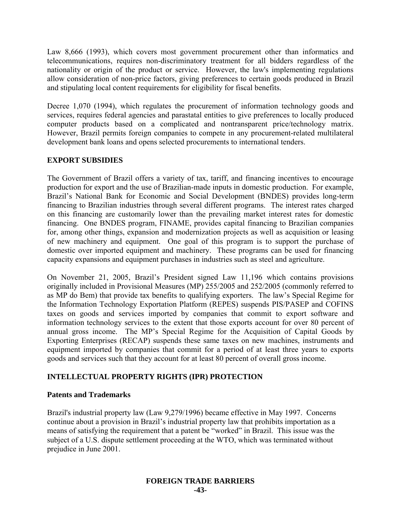Law 8,666 (1993), which covers most government procurement other than informatics and telecommunications, requires non-discriminatory treatment for all bidders regardless of the nationality or origin of the product or service. However, the law's implementing regulations allow consideration of non-price factors, giving preferences to certain goods produced in Brazil and stipulating local content requirements for eligibility for fiscal benefits.

Decree 1,070 (1994), which regulates the procurement of information technology goods and services, requires federal agencies and parastatal entities to give preferences to locally produced computer products based on a complicated and nontransparent price/technology matrix. However, Brazil permits foreign companies to compete in any procurement-related multilateral development bank loans and opens selected procurements to international tenders.

## **EXPORT SUBSIDIES**

The Government of Brazil offers a variety of tax, tariff, and financing incentives to encourage production for export and the use of Brazilian-made inputs in domestic production. For example, Brazil's National Bank for Economic and Social Development (BNDES) provides long-term financing to Brazilian industries through several different programs. The interest rates charged on this financing are customarily lower than the prevailing market interest rates for domestic financing. One BNDES program, FINAME, provides capital financing to Brazilian companies for, among other things, expansion and modernization projects as well as acquisition or leasing of new machinery and equipment. One goal of this program is to support the purchase of domestic over imported equipment and machinery. These programs can be used for financing capacity expansions and equipment purchases in industries such as steel and agriculture.

On November 21, 2005, Brazil's President signed Law 11,196 which contains provisions originally included in Provisional Measures (MP) 255/2005 and 252/2005 (commonly referred to as MP do Bem) that provide tax benefits to qualifying exporters. The law's Special Regime for the Information Technology Exportation Platform (REPES) suspends PIS/PASEP and COFINS taxes on goods and services imported by companies that commit to export software and information technology services to the extent that those exports account for over 80 percent of annual gross income. The MP's Special Regime for the Acquisition of Capital Goods by Exporting Enterprises (RECAP) suspends these same taxes on new machines, instruments and equipment imported by companies that commit for a period of at least three years to exports goods and services such that they account for at least 80 percent of overall gross income.

# **INTELLECTUAL PROPERTY RIGHTS (IPR) PROTECTION**

## **Patents and Trademarks**

Brazil's industrial property law (Law 9,279/1996) became effective in May 1997. Concerns continue about a provision in Brazil's industrial property law that prohibits importation as a means of satisfying the requirement that a patent be "worked" in Brazil. This issue was the subject of a U.S. dispute settlement proceeding at the WTO, which was terminated without prejudice in June 2001.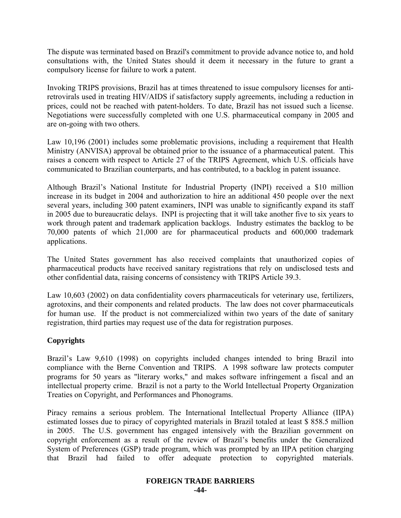The dispute was terminated based on Brazil's commitment to provide advance notice to, and hold consultations with, the United States should it deem it necessary in the future to grant a compulsory license for failure to work a patent.

Invoking TRIPS provisions, Brazil has at times threatened to issue compulsory licenses for antiretrovirals used in treating HIV/AIDS if satisfactory supply agreements, including a reduction in prices, could not be reached with patent-holders. To date, Brazil has not issued such a license. Negotiations were successfully completed with one U.S. pharmaceutical company in 2005 and are on-going with two others.

Law 10,196 (2001) includes some problematic provisions, including a requirement that Health Ministry (ANVISA) approval be obtained prior to the issuance of a pharmaceutical patent. This raises a concern with respect to Article 27 of the TRIPS Agreement, which U.S. officials have communicated to Brazilian counterparts, and has contributed, to a backlog in patent issuance.

Although Brazil's National Institute for Industrial Property (INPI) received a \$10 million increase in its budget in 2004 and authorization to hire an additional 450 people over the next several years, including 300 patent examiners, INPI was unable to significantly expand its staff in 2005 due to bureaucratic delays. INPI is projecting that it will take another five to six years to work through patent and trademark application backlogs. Industry estimates the backlog to be 70,000 patents of which 21,000 are for pharmaceutical products and 600,000 trademark applications.

The United States government has also received complaints that unauthorized copies of pharmaceutical products have received sanitary registrations that rely on undisclosed tests and other confidential data, raising concerns of consistency with TRIPS Article 39.3.

Law 10,603 (2002) on data confidentiality covers pharmaceuticals for veterinary use, fertilizers, agrotoxins, and their components and related products. The law does not cover pharmaceuticals for human use. If the product is not commercialized within two years of the date of sanitary registration, third parties may request use of the data for registration purposes.

# **Copyrights**

Brazil's Law 9,610 (1998) on copyrights included changes intended to bring Brazil into compliance with the Berne Convention and TRIPS. A 1998 software law protects computer programs for 50 years as "literary works," and makes software infringement a fiscal and an intellectual property crime. Brazil is not a party to the World Intellectual Property Organization Treaties on Copyright, and Performances and Phonograms.

Piracy remains a serious problem. The International Intellectual Property Alliance (IIPA) estimated losses due to piracy of copyrighted materials in Brazil totaled at least \$ 858.5 million in 2005. The U.S. government has engaged intensively with the Brazilian government on copyright enforcement as a result of the review of Brazil's benefits under the Generalized System of Preferences (GSP) trade program, which was prompted by an IIPA petition charging that Brazil had failed to offer adequate protection to copyrighted materials.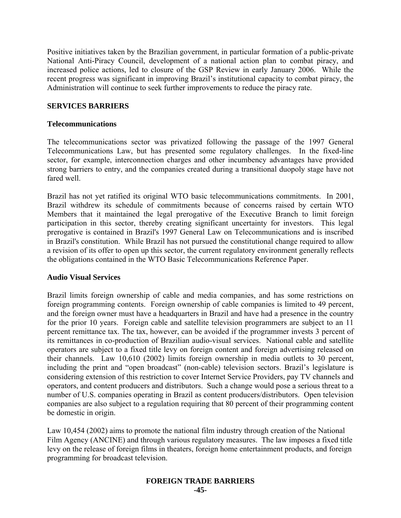Positive initiatives taken by the Brazilian government, in particular formation of a public-private National Anti-Piracy Council, development of a national action plan to combat piracy, and increased police actions, led to closure of the GSP Review in early January 2006. While the recent progress was significant in improving Brazil's institutional capacity to combat piracy, the Administration will continue to seek further improvements to reduce the piracy rate.

## **SERVICES BARRIERS**

#### **Telecommunications**

The telecommunications sector was privatized following the passage of the 1997 General Telecommunications Law, but has presented some regulatory challenges. In the fixed-line sector, for example, interconnection charges and other incumbency advantages have provided strong barriers to entry, and the companies created during a transitional duopoly stage have not fared well.

Brazil has not yet ratified its original WTO basic telecommunications commitments. In 2001, Brazil withdrew its schedule of commitments because of concerns raised by certain WTO Members that it maintained the legal prerogative of the Executive Branch to limit foreign participation in this sector, thereby creating significant uncertainty for investors. This legal prerogative is contained in Brazil's 1997 General Law on Telecommunications and is inscribed in Brazil's constitution. While Brazil has not pursued the constitutional change required to allow a revision of its offer to open up this sector, the current regulatory environment generally reflects the obligations contained in the WTO Basic Telecommunications Reference Paper.

#### **Audio Visual Services**

Brazil limits foreign ownership of cable and media companies, and has some restrictions on foreign programming contents. Foreign ownership of cable companies is limited to 49 percent, and the foreign owner must have a headquarters in Brazil and have had a presence in the country for the prior 10 years. Foreign cable and satellite television programmers are subject to an 11 percent remittance tax. The tax, however, can be avoided if the programmer invests 3 percent of its remittances in co-production of Brazilian audio-visual services. National cable and satellite operators are subject to a fixed title levy on foreign content and foreign advertising released on their channels. Law 10,610 (2002) limits foreign ownership in media outlets to 30 percent, including the print and "open broadcast" (non-cable) television sectors. Brazil's legislature is considering extension of this restriction to cover Internet Service Providers, pay TV channels and operators, and content producers and distributors. Such a change would pose a serious threat to a number of U.S. companies operating in Brazil as content producers/distributors. Open television companies are also subject to a regulation requiring that 80 percent of their programming content be domestic in origin.

Law 10,454 (2002) aims to promote the national film industry through creation of the National Film Agency (ANCINE) and through various regulatory measures. The law imposes a fixed title levy on the release of foreign films in theaters, foreign home entertainment products, and foreign programming for broadcast television.

#### **FOREIGN TRADE BARRIERS -45-**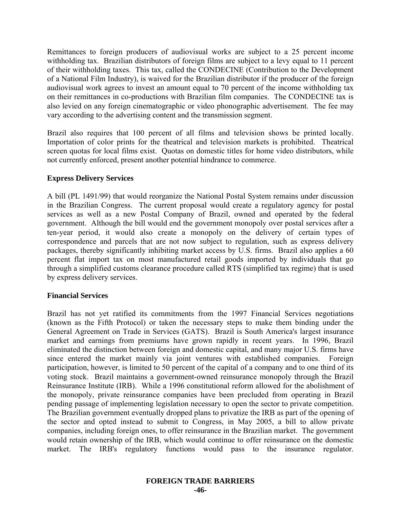Remittances to foreign producers of audiovisual works are subject to a 25 percent income withholding tax. Brazilian distributors of foreign films are subject to a levy equal to 11 percent of their withholding taxes. This tax, called the CONDECINE (Contribution to the Development of a National Film Industry), is waived for the Brazilian distributor if the producer of the foreign audiovisual work agrees to invest an amount equal to 70 percent of the income withholding tax on their remittances in co-productions with Brazilian film companies. The CONDECINE tax is also levied on any foreign cinematographic or video phonographic advertisement. The fee may vary according to the advertising content and the transmission segment.

Brazil also requires that 100 percent of all films and television shows be printed locally. Importation of color prints for the theatrical and television markets is prohibited. Theatrical screen quotas for local films exist. Quotas on domestic titles for home video distributors, while not currently enforced, present another potential hindrance to commerce.

#### **Express Delivery Services**

A bill (PL 1491/99) that would reorganize the National Postal System remains under discussion in the Brazilian Congress. The current proposal would create a regulatory agency for postal services as well as a new Postal Company of Brazil, owned and operated by the federal government. Although the bill would end the government monopoly over postal services after a ten-year period, it would also create a monopoly on the delivery of certain types of correspondence and parcels that are not now subject to regulation, such as express delivery packages, thereby significantly inhibiting market access by U.S. firms. Brazil also applies a 60 percent flat import tax on most manufactured retail goods imported by individuals that go through a simplified customs clearance procedure called RTS (simplified tax regime) that is used by express delivery services.

#### **Financial Services**

Brazil has not yet ratified its commitments from the 1997 Financial Services negotiations (known as the Fifth Protocol) or taken the necessary steps to make them binding under the General Agreement on Trade in Services (GATS). Brazil is South America's largest insurance market and earnings from premiums have grown rapidly in recent years. In 1996, Brazil eliminated the distinction between foreign and domestic capital, and many major U.S. firms have since entered the market mainly via joint ventures with established companies. Foreign participation, however, is limited to 50 percent of the capital of a company and to one third of its voting stock. Brazil maintains a government-owned reinsurance monopoly through the Brazil Reinsurance Institute (IRB). While a 1996 constitutional reform allowed for the abolishment of the monopoly, private reinsurance companies have been precluded from operating in Brazil pending passage of implementing legislation necessary to open the sector to private competition. The Brazilian government eventually dropped plans to privatize the IRB as part of the opening of the sector and opted instead to submit to Congress, in May 2005, a bill to allow private companies, including foreign ones, to offer reinsurance in the Brazilian market. The government would retain ownership of the IRB, which would continue to offer reinsurance on the domestic market. The IRB's regulatory functions would pass to the insurance regulator.